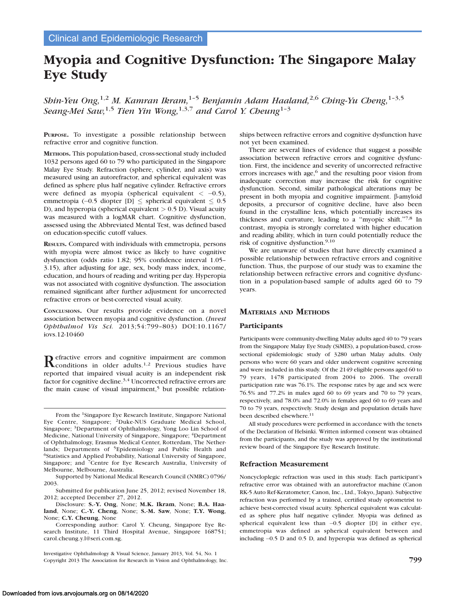# Myopia and Cognitive Dysfunction: The Singapore Malay Eye Study

Shin-Yeu Ong,<sup>1,2</sup> M. Kamran Ikram,<sup>1-5</sup> Benjamin Adam Haaland,<sup>2,6</sup> Ching-Yu Cheng,<sup>1-3,5</sup> Seang-Mei Saw,<sup>1,5</sup> Tien Yin Wong,<sup>1,3,7</sup> and Carol Y. Cheung<sup>1-3</sup>

PURPOSE. To investigate a possible relationship between refractive error and cognitive function.

METHODS. This population-based, cross-sectional study included 1032 persons aged 60 to 79 who participated in the Singapore Malay Eye Study. Refraction (sphere, cylinder, and axis) was measured using an autorefractor, and spherical equivalent was defined as sphere plus half negative cylinder. Refractive errors were defined as myopia (spherical equivalent  $<-0.5$ ), emmetropia (-0.5 diopter [D]  $\leq$  spherical equivalent  $\leq 0.5$ D), and hyperopia (spherical equivalent  $> 0.5$  D). Visual acuity was measured with a logMAR chart. Cognitive dysfunction, assessed using the Abbreviated Mental Test, was defined based on education-specific cutoff values.

RESULTS. Compared with individuals with emmetropia, persons with myopia were almost twice as likely to have cognitive dysfunction (odds ratio 1.82; 95% confidence interval 1.05– 3.15), after adjusting for age, sex, body mass index, income, education, and hours of reading and writing per day. Hyperopia was not associated with cognitive dysfunction. The association remained significant after further adjustment for uncorrected refractive errors or best-corrected visual acuity.

CONCLUSIONS. Our results provide evidence on a novel association between myopia and cognitive dysfunction. (Invest Ophthalmol Vis Sci. 2013;54:799–803) DOI:10.1167/ iovs.12-10460

Refractive errors and cognitive impairment are common Reonditions in older adults.<sup>1,2</sup> Previous studies have reported that impaired visual acuity is an independent risk factor for cognitive decline.<sup>3,4</sup> Uncorrected refractive errors are the main cause of visual impairment, $5$  but possible relation-

From the 1Singapore Eye Research Institute, Singapore National Eye Centre, Singapore; <sup>2</sup>Duke-NUS Graduate Medical School, Singapore; 3Department of Ophthalmology, Yong Loo Lin School of Medicine, National University of Singapore, Singapore; 4Department of Ophthalmology, Erasmus Medical Center, Rotterdam, The Netherlands; Departments of <sup>5</sup>Epidemiology and Public Health and <sup>6</sup>Statistics and Applied Probability, National University of Singapore, Singapore; and 7Centre for Eye Research Australia, University of Melbourne, Melbourne, Australia.

Supported by National Medical Research Council (NMRC) 0796/ 2003.

Submitted for publication June 25, 2012; revised November 18, 2012; accepted December 27, 2012.

Disclosure: S.-Y. Ong, None; M.K. Ikram, None; B.A. Haaland, None; C.-Y. Cheng, None; S.-M. Saw, None; T.Y. Wong, None; C.Y. Cheung, None

Corresponding author: Carol Y. Cheung, Singapore Eye Research Institute, 11 Third Hospital Avenue, Singapore 168751; carol.cheung.y.l@seri.com.sg.

Investigative Ophthalmology & Visual Science, January 2013, Vol. 54, No. 1 Copyright 2013 The Association for Research in Vision and Ophthalmology, Inc. 799

ships between refractive errors and cognitive dysfunction have not yet been examined.

There are several lines of evidence that suggest a possible association between refractive errors and cognitive dysfunction. First, the incidence and severity of uncorrected refractive errors increases with age, $6$  and the resulting poor vision from inadequate correction may increase the risk for cognitive dysfunction. Second, similar pathological alterations may be present in both myopia and cognitive impairment.  $\beta$ -amyloid deposits, a precursor of cognitive decline, have also been found in the crystalline lens, which potentially increases its thickness and curvature, leading to a ''myopic shift.''7,8 In contrast, myopia is strongly correlated with higher education and reading ability, which in turn could potentially reduce the risk of cognitive dysfunction.9,10

We are unaware of studies that have directly examined a possible relationship between refractive errors and cognitive function. Thus, the purpose of our study was to examine the relationship between refractive errors and cognitive dysfunction in a population-based sample of adults aged 60 to 79 years.

# MATERIALS AND METHODS

# Participants

Participants were community-dwelling Malay adults aged 40 to 79 years from the Singapore Malay Eye Study (SiMES), a population-based, crosssectional epidemiologic study of 3280 urban Malay adults. Only persons who were 60 years and older underwent cognitive screening and were included in this study. Of the 2149 eligible persons aged 60 to 79 years, 1478 participated from 2004 to 2006. The overall participation rate was 76.1%. The response rates by age and sex were 76.5% and 77.2% in males aged 60 to 69 years and 70 to 79 years, respectively, and 78.0% and 72.0% in females aged 60 to 69 years and 70 to 79 years, respectively. Study design and population details have been described elsewhere.<sup>11</sup>

All study procedures were performed in accordance with the tenets of the Declaration of Helsinki. Written informed consent was obtained from the participants, and the study was approved by the institutional review board of the Singapore Eye Research Institute.

### Refraction Measurement

Noncycloplegic refraction was used in this study. Each participant's refractive error was obtained with an autorefractor machine (Canon RK-5 Auto Ref-Keratometer; Canon, Inc., Ltd., Tokyo, Japan). Subjective refraction was performed by a trained, certified study optometrist to achieve best-corrected visual acuity. Spherical equivalent was calculated as sphere plus half negative cylinder. Myopia was defined as spherical equivalent less than -0.5 diopter [D] in either eye, emmetropia was defined as spherical equivalent between and including -0.5 D and 0.5 D, and hyperopia was defined as spherical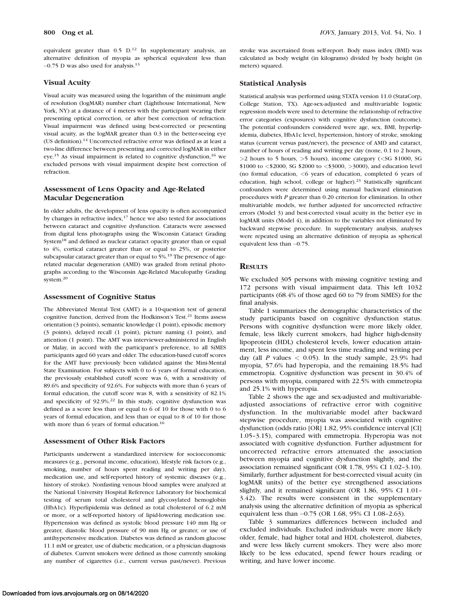800 Ong et al. Iows, January 2013, Vol. 54, No. 1

equivalent greater than  $0.5$  D.<sup>12</sup> In supplementary analysis, an alternative definition of myopia as spherical equivalent less than -0.75 D was also used for analysis.<sup>13</sup>

## Visual Acuity

Visual acuity was measured using the logarithm of the minimum angle of resolution (logMAR) number chart (Lighthouse International, New York, NY) at a distance of 4 meters with the participant wearing their presenting optical correction, or after best correction of refraction. Visual impairment was defined using best-corrected or presenting visual acuity, as the logMAR greater than 0.3 in the better-seeing eye (US definition).<sup>14</sup> Uncorrected refractive error was defined as at least a two-line difference between presenting and corrected logMAR in either eye.<sup>15</sup> As visual impairment is related to cognitive dysfunction,<sup>16</sup> we excluded persons with visual impairment despite best correction of refraction.

# Assessment of Lens Opacity and Age-Related Macular Degeneration

In older adults, the development of lens opacity is often accompanied by changes in refractive index,17 hence we also tested for associations between cataract and cognitive dysfunction. Cataracts were assessed from digital lens photographs using the Wisconsin Cataract Grading System<sup>18</sup> and defined as nuclear cataract opacity greater than or equal to 4%, cortical cataract greater than or equal to 25%, or posterior subcapsular cataract greater than or equal to 5%.<sup>19</sup> The presence of agerelated macular degeneration (AMD) was graded from retinal photographs according to the Wisconsin Age-Related Maculopathy Grading system.20

## Assessment of Cognitive Status

The Abbreviated Mental Test (AMT) is a 10-question test of general cognitive function, derived from the Hodkinson's Test.<sup>21</sup> Items assess orientation (3 points), semantic knowledge (1 point), episodic memory (3 points), delayed recall (1 point), picture naming (1 point), and attention (1 point). The AMT was interviewer-administered in English or Malay, in accord with the participant's preference, to all SiMES participants aged 60 years and older. The education-based cutoff scores for the AMT have previously been validated against the Mini-Mental State Examination. For subjects with 0 to 6 years of formal education, the previously established cutoff score was 6, with a sensitivity of 89.6% and specificity of 92.6%. For subjects with more than 6 years of formal education, the cutoff score was 8, with a sensitivity of 82.1% and specificity of 92.9%.22 In this study, cognitive dysfunction was defined as a score less than or equal to 6 of 10 for those with 0 to 6 years of formal education, and less than or equal to 8 of 10 for those with more than 6 years of formal education.<sup>16</sup>

#### Assessment of Other Risk Factors

Participants underwent a standardized interview for socioeconomic measures (e.g., personal income, education), lifestyle risk factors (e.g., smoking, number of hours spent reading and writing per day), medication use, and self-reported history of systemic diseases (e.g., history of stroke). Nonfasting venous blood samples were analyzed at the National University Hospital Reference Laboratory for biochemical testing of serum total cholesterol and glycosylated hemoglobin (HbA1c). Hyperlipidemia was defined as total cholesterol of 6.2 mM or more, or a self-reported history of lipid-lowering medication use. Hypertension was defined as systolic blood pressure 140 mm Hg or greater, diastolic blood pressure of 90 mm Hg or greater, or use of antihypertensive medication. Diabetes was defined as random glucose 11.1 mM or greater, use of diabetic medication, or a physician diagnosis of diabetes. Current smokers were defined as those currently smoking any number of cigarettes (i.e., current versus past/never). Previous

stroke was ascertained from self-report. Body mass index (BMI) was calculated as body weight (in kilograms) divided by body height (in meters) squared.

## Statistical Analysis

Statistical analysis was performed using STATA version 11.0 (StataCorp, College Station, TX). Age-sex-adjusted and multivariable logistic regression models were used to determine the relationship of refractive error categories (exposures) with cognitive dysfunction (outcome). The potential confounders considered were age, sex, BMI, hyperlipidemia, diabetes, HbA1c level, hypertension, history of stroke, smoking status (current versus past/never), the presence of AMD and cataract, number of hours of reading and writing per day (none, 0.1 to 2 hours, >2 hours to 5 hours, >5 hours), income category (<SG \$1000, SG \$1000 to <\$2000, SG \$2000 to <\$3000, >3000), and education level (no formal education, <6 years of education, completed 6 years of education, high school, college or higher).<sup>23</sup> Statistically significant confounders were determined using manual backward elimination procedures with P greater than 0.20 criterion for elimination. In other multivariable models, we further adjusted for uncorrected refractive errors (Model 3) and best-corrected visual acuity in the better eye in logMAR units (Model 4), in addition to the variables not eliminated by backward stepwise procedure. In supplementary analysis, analyses were repeated using an alternative definition of myopia as spherical equivalent less than  $-0.75$ .

## **RESULTS**

We excluded 305 persons with missing cognitive testing and 172 persons with visual impairment data. This left 1032 participants (68.4% of those aged 60 to 79 from SiMES) for the final analysis.

Table 1 summarizes the demographic characteristics of the study participants based on cognitive dysfunction status. Persons with cognitive dysfunction were more likely older, female, less likely current smokers, had higher high-density lipoprotein (HDL) cholesterol levels, lower education attainment, less income, and spent less time reading and writing per day (all P values  $\langle 0.05 \rangle$ ). In the study sample, 23.9% had myopia, 57.6% had hyperopia, and the remaining 18.5% had emmetropia. Cognitive dysfunction was present in 30.4% of persons with myopia, compared with 22.5% with emmetropia and 25.1% with hyperopia.

Table 2 shows the age and sex-adjusted and multivariableadjusted associations of refractive error with cognitive dysfunction. In the multivariable model after backward stepwise procedure, myopia was associated with cognitive dysfunction (odds ratio [OR] 1.82, 95% confidence interval [CI] 1.05–3.15), compared with emmetropia. Hyperopia was not associated with cognitive dysfunction. Further adjustment for uncorrected refractive errors attenuated the association between myopia and cognitive dysfunction slightly, and the association remained significant (OR 1.78, 95% CI 1.02–3.10). Similarly, further adjustment for best-corrected visual acuity (in logMAR units) of the better eye strengthened associations slightly, and it remained significant (OR 1.86, 95% CI 1.01– 3.42). The results were consistent in the supplementary analysis using the alternative definition of myopia as spherical equivalent less than -0.75 (OR 1.68, 95% CI 1.08–2.63).

Table 3 summarizes differences between included and excluded individuals. Excluded individuals were more likely older, female, had higher total and HDL cholesterol, diabetes, and were less likely current smokers. They were also more likely to be less educated, spend fewer hours reading or writing, and have lower income.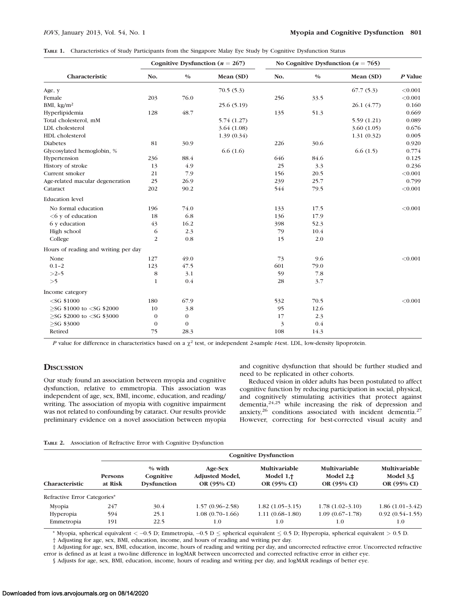|  |  |  |  |  | TABLE 1. Characteristics of Study Participants from the Singapore Malay Eye Study by Cognitive Dysfunction Status |
|--|--|--|--|--|-------------------------------------------------------------------------------------------------------------------|
|--|--|--|--|--|-------------------------------------------------------------------------------------------------------------------|

|                                                                                                                                                           |              |          | Cognitive Dysfunction ( $n = 267$ ) | No Cognitive Dysfunction ( $n = 765$ ) |               |             |         |
|-----------------------------------------------------------------------------------------------------------------------------------------------------------|--------------|----------|-------------------------------------|----------------------------------------|---------------|-------------|---------|
| Characteristic                                                                                                                                            | No.          | $0/0$    | Mean (SD)                           | No.                                    | $\frac{0}{0}$ | Mean (SD)   | P Value |
| Age, y                                                                                                                                                    |              |          | 70.5(5.3)                           |                                        |               | 67.7(5.3)   | < 0.001 |
| Female                                                                                                                                                    | 203          | 76.0     |                                     | 256                                    | 33.5          |             | < 0.001 |
| BMI, $\text{kg/m}^2$                                                                                                                                      |              |          | 25.6(5.19)                          |                                        |               | 26.1 (4.77) | 0.160   |
| Hyperlipidemia                                                                                                                                            | 128          | 48.7     |                                     | 135                                    | 51.3          |             | 0.669   |
| Total cholesterol, mM                                                                                                                                     |              |          | 5.74(1.27)                          |                                        |               | 5.59(1.21)  | 0.089   |
| LDL cholesterol                                                                                                                                           |              |          | 3.64(1.08)                          |                                        |               | 3.60(1.05)  | 0.676   |
| HDL cholesterol                                                                                                                                           |              |          | 1.39(0.34)                          |                                        |               | 1.31(0.32)  | 0.005   |
| <b>Diabetes</b>                                                                                                                                           | 81           | 30.9     |                                     | 226                                    | 30.6          |             | 0.920   |
| Glycosylated hemoglobin, %                                                                                                                                |              |          | 6.6(1.6)                            |                                        |               | 6.6(1.5)    | 0.774   |
| Hypertension                                                                                                                                              | 236          | 88.4     |                                     | 646                                    | 84.6          |             | 0.125   |
| History of stroke                                                                                                                                         | 13           | 4.9      |                                     | 25                                     | 3.3           |             | 0.236   |
| Current smoker                                                                                                                                            | 21           | 7.9      |                                     | 156                                    | 20.5          |             | < 0.001 |
| Age-related macular degeneration                                                                                                                          | 25           | 26.9     |                                     | 239                                    | 25.7          |             | 0.799   |
| Cataract                                                                                                                                                  | 202          | 90.2     |                                     | 544                                    | 79.5          |             | < 0.001 |
| <b>Education</b> level                                                                                                                                    |              |          |                                     |                                        |               |             |         |
| No formal education                                                                                                                                       | 196          | 74.0     |                                     | 133                                    | 17.5          |             | < 0.001 |
| $<6$ y of education                                                                                                                                       | 18           | 6.8      |                                     | 136                                    | 17.9          |             |         |
| 6 y education                                                                                                                                             | 43           | 16.2     |                                     | 398                                    | 52.3          |             |         |
| High school                                                                                                                                               | 6            | 2.3      |                                     | 79                                     | 10.4          |             |         |
| College                                                                                                                                                   | 2            | 0.8      |                                     | 15                                     | 2.0           |             |         |
| Hours of reading and writing per day                                                                                                                      |              |          |                                     |                                        |               |             |         |
| None                                                                                                                                                      | 127          | 49.0     |                                     | 73                                     | 9.6           |             | < 0.001 |
| $0.1 - 2$                                                                                                                                                 | 123          | 47.5     |                                     | 601                                    | 79.0          |             |         |
| $>2-5$                                                                                                                                                    | 8            | 3.1      |                                     | 59                                     | 7.8           |             |         |
| >5                                                                                                                                                        | $\mathbf{1}$ | 0.4      |                                     | 28                                     | 3.7           |             |         |
| Income category                                                                                                                                           |              |          |                                     |                                        |               |             |         |
| $<$ SG \$1000                                                                                                                                             | 180          | 67.9     |                                     | 532                                    | 70.5          |             | < 0.001 |
| $>$ SG \$1000 to <sg \$2000<="" td=""><td>10</td><td>3.8</td><td></td><td>95</td><td>12.6</td><td></td><td></td></sg>                                     | 10           | 3.8      |                                     | 95                                     | 12.6          |             |         |
| $>$ SG \$2000 to <sg \$3000<="" td=""><td><math>\mathbf{0}</math></td><td><math>\bf{0}</math></td><td></td><td>17</td><td>2.3</td><td></td><td></td></sg> | $\mathbf{0}$ | $\bf{0}$ |                                     | 17                                     | 2.3           |             |         |
| $>$ SG \$3000                                                                                                                                             | $\mathbf{0}$ | $\bf{0}$ |                                     | 3                                      | 0.4           |             |         |
| Retired                                                                                                                                                   | 75           | 28.3     |                                     | 108                                    | 14.3          |             |         |

P value for difference in characteristics based on a  $\chi^2$  test, or independent 2-sample t-test. LDL, low-density lipoprotein.

## **DISCUSSION**

and cognitive dysfunction that should be further studied and need to be replicated in other cohorts.

Our study found an association between myopia and cognitive dysfunction, relative to emmetropia. This association was independent of age, sex, BMI, income, education, and reading/ writing. The association of myopia with cognitive impairment was not related to confounding by cataract. Our results provide preliminary evidence on a novel association between myopia

Reduced vision in older adults has been postulated to affect cognitive function by reducing participation in social, physical, and cognitively stimulating activities that protect against dementia,24,25 while increasing the risk of depression and anxiety, $26$  conditions associated with incident dementia.<sup>27</sup> However, correcting for best-corrected visual acuity and

|  | TABLE 2. Association of Refractive Error with Cognitive Dysfunction |  |  |  |  |  |
|--|---------------------------------------------------------------------|--|--|--|--|--|
|--|---------------------------------------------------------------------|--|--|--|--|--|

|                              |                           | <b>Cognitive Dysfunction</b>                |                                                  |                                                     |                                                    |                                                   |  |  |  |  |
|------------------------------|---------------------------|---------------------------------------------|--------------------------------------------------|-----------------------------------------------------|----------------------------------------------------|---------------------------------------------------|--|--|--|--|
| <b>Characteristic</b>        | <b>Persons</b><br>at Risk | $%$ with<br>Cognitive<br><b>Dysfunction</b> | Age-Sex<br><b>Adjusted Model,</b><br>OR (95% CI) | <b>Multivariable</b><br>Model $1, †$<br>OR (95% CI) | <b>Multivariable</b><br>Model $2.±$<br>OR (95% CI) | <b>Multivariable</b><br>Model $3.$<br>OR (95% CI) |  |  |  |  |
| Refractive Error Categories* |                           |                                             |                                                  |                                                     |                                                    |                                                   |  |  |  |  |
| Mvopia                       | 247                       | 30.4                                        | $1.57(0.96-2.58)$                                | $1.82(1.05-3.15)$                                   | $1.78(1.02-3.10)$                                  | $1.86(1.01-3.42)$                                 |  |  |  |  |
| Hyperopia                    | 594                       | 25.1                                        | $1.08(0.70-1.66)$                                | $1.11(0.68-1.80)$                                   | $1.09(0.67-1.78)$                                  | $0.92(0.54-1.55)$                                 |  |  |  |  |
| Emmetropia                   | 191                       | 22.5                                        | 1.0                                              | 1.0                                                 | 1.0                                                | 1.0                                               |  |  |  |  |

\* Myopia, spherical equivalent  $<-0.5$  D; Emmetropia,  $-0.5$  D  $\leq$  spherical equivalent  $\leq 0.5$  D; Hyperopia, spherical equivalent  $> 0.5$  D. † Adjusting for age, sex, BMI, education, income, and hours of reading and writing per day.

‡ Adjusting for age, sex, BMI, education, income, hours of reading and writing per day, and uncorrected refractive error. Uncorrected refractive error is defined as at least a two-line difference in logMAR between uncorrected and corrected refractive error in either eye.

§ Adjusts for age, sex, BMI, education, income, hours of reading and writing per day, and logMAR readings of better eye.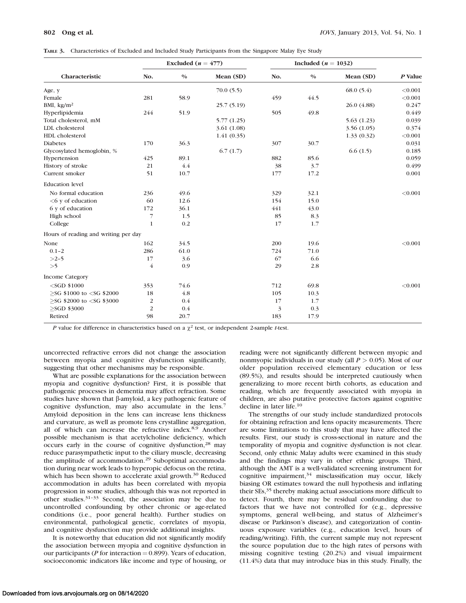| TABLE 3. Characteristics of Excluded and Included Study Participants from the Singapore Malay Eye Study |  |
|---------------------------------------------------------------------------------------------------------|--|
|---------------------------------------------------------------------------------------------------------|--|

|                                      |                | Excluded $(n = 477)$ |            | Included ( $n = 1032$ ) |       |             |         |
|--------------------------------------|----------------|----------------------|------------|-------------------------|-------|-------------|---------|
| Characteristic                       | No.            | $0/0$                | Mean (SD)  | No.                     | $0/0$ | Mean (SD)   | P Value |
| Age, y                               |                |                      | 70.0(5.5)  |                         |       | 68.0(5.4)   | < 0.001 |
| Female                               | 281            | 58.9                 |            | 459                     | 44.5  |             | < 0.001 |
| BMI, $\text{kg/m}^2$                 |                |                      | 25.7(5.19) |                         |       | 26.0 (4.88) | 0.247   |
| Hyperlipidemia                       | 244            | 51.9                 |            | 505                     | 49.8  |             | 0.449   |
| Total cholesterol, mM                |                |                      | 5.77(1.25) |                         |       | 5.63(1.23)  | 0.039   |
| LDL cholesterol                      |                |                      | 3.61(1.08) |                         |       | 3.56(1.05)  | 0.374   |
| HDL cholesterol                      |                |                      | 1.41(0.35) |                         |       | 1.33(0.32)  | < 0.001 |
| <b>Diabetes</b>                      | 170            | 36.3                 |            | 307                     | 30.7  |             | 0.031   |
| Glycosylated hemoglobin, %           |                |                      | 6.7(1.7)   |                         |       | 6.6(1.5)    | 0.185   |
| Hypertension                         | 425            | 89.1                 |            | 882                     | 85.6  |             | 0.059   |
| History of stroke                    | 21             | 4.4                  |            | 38                      | 3.7   |             | 0.499   |
| Current smoker                       | 51             | 10.7                 |            | 177                     | 17.2  |             | 0.001   |
| <b>Education</b> level               |                |                      |            |                         |       |             |         |
| No formal education                  | 236            | 49.6                 |            | 329                     | 32.1  |             | < 0.001 |
| $<6$ y of education                  | 60             | 12.6                 |            | 154                     | 15.0  |             |         |
| 6 y of education                     | 172            | 36.1                 |            | 441                     | 43.0  |             |         |
| High school                          | 7              | 1.5                  |            | 85                      | 8.3   |             |         |
| College                              | $\mathbf{1}$   | 0.2                  |            | 17                      | 1.7   |             |         |
| Hours of reading and writing per day |                |                      |            |                         |       |             |         |
| None                                 | 162            | 34.5                 |            | 200                     | 19.6  |             | < 0.001 |
| $0.1 - 2$                            | 286            | 61.0                 |            | 724                     | 71.0  |             |         |
| $>2-5$                               | 17             | 3.6                  |            | 67                      | 6.6   |             |         |
| >5                                   | $\overline{4}$ | 0.9                  |            | 29                      | 2.8   |             |         |
| Income Category                      |                |                      |            |                         |       |             |         |
| $<$ SGD \$1000                       | 353            | 74.6                 |            | 712                     | 69.8  |             | < 0.001 |
| $>$ SG \$1000 to $<$ SG \$2000       | 18             | 4.8                  |            | 105                     | 10.3  |             |         |
| $>$ SG \$2000 to $<$ SG \$3000       | $\sqrt{2}$     | 0.4                  |            | 17                      | 1.7   |             |         |
| $>$ SGD \$3000                       | 2              | 0.4                  |            | 3                       | 0.3   |             |         |
| Retired                              | 98             | 20.7                 |            | 183                     | 17.9  |             |         |

P value for difference in characteristics based on a  $\chi^2$  test, or independent 2-sample t-test.

uncorrected refractive errors did not change the association between myopia and cognitive dysfunction significantly, suggesting that other mechanisms may be responsible.

What are possible explanations for the association between myopia and cognitive dysfunction? First, it is possible that pathogenic processes in dementia may affect refraction. Some studies have shown that  $\beta$ -amyloid, a key pathogenic feature of cognitive dysfunction, may also accumulate in the lens.<sup>7</sup> Amyloid deposition in the lens can increase lens thickness and curvature, as well as promote lens crystalline aggregation, all of which can increase the refractive index.<sup>8,9</sup> Another possible mechanism is that acetylcholine deficiency, which occurs early in the course of cognitive dysfunction,<sup>28</sup> may reduce parasympathetic input to the ciliary muscle, decreasing the amplitude of accommodation.<sup>29</sup> Suboptimal accommodation during near work leads to hyperopic defocus on the retina, which has been shown to accelerate axial growth.<sup>30</sup> Reduced accommodation in adults has been correlated with myopia progression in some studies, although this was not reported in other studies.31–33 Second, the association may be due to uncontrolled confounding by other chronic or age-related conditions (i.e., poor general health). Further studies on environmental, pathological genetic, correlates of myopia, and cognitive dysfunction may provide additional insights.

It is noteworthy that education did not significantly modify the association between myopia and cognitive dysfunction in our participants ( $P$  for interaction = 0.899). Years of education, socioeconomic indicators like income and type of housing, or reading were not significantly different between myopic and nonmyopic individuals in our study (all  $P > 0.05$ ). Most of our older population received elementary education or less (89.5%), and results should be interpreted cautiously when generalizing to more recent birth cohorts, as education and reading, which are frequently associated with myopia in children, are also putative protective factors against cognitive decline in later life.10

The strengths of our study include standardized protocols for obtaining refraction and lens opacity measurements. There are some limitations to this study that may have affected the results. First, our study is cross-sectional in nature and the temporality of myopia and cognitive dysfunction is not clear. Second, only ethnic Malay adults were examined in this study and the findings may vary in other ethnic groups. Third, although the AMT is a well-validated screening instrument for cognitive impairment, $34$  misclassification may occur, likely biasing OR estimates toward the null hypothesis and inflating their SEs,<sup>35</sup> thereby making actual associations more difficult to detect. Fourth, there may be residual confounding due to factors that we have not controlled for (e.g., depressive symptoms, general well-being, and status of Alzheimer's disease or Parkinson's disease), and categorization of continuous exposure variables (e.g., education level, hours of reading/writing). Fifth, the current sample may not represent the source population due to the high rates of persons with missing cognitive testing (20.2%) and visual impairment (11.4%) data that may introduce bias in this study. Finally, the